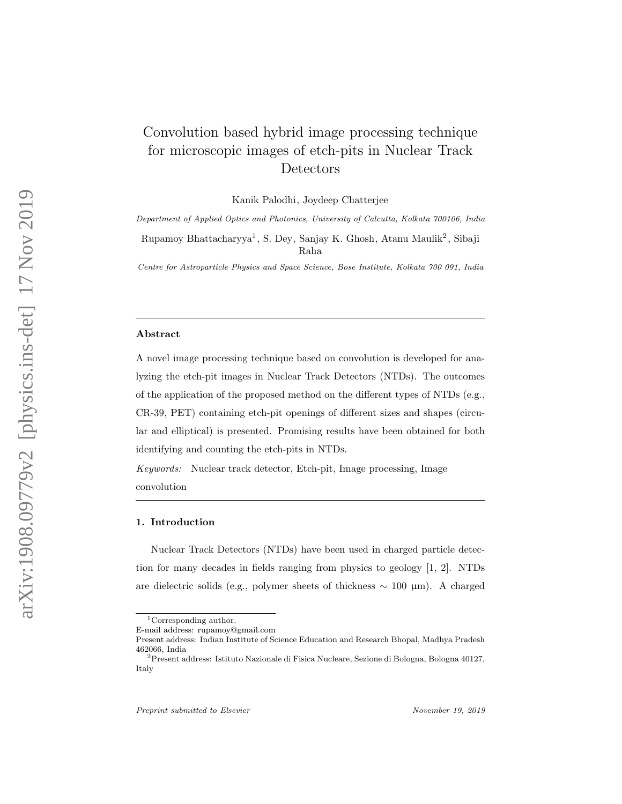# Convolution based hybrid image processing technique for microscopic images of etch-pits in Nuclear Track Detectors

Kanik Palodhi, Joydeep Chatterjee

Department of Applied Optics and Photonics, University of Calcutta, Kolkata 700106, India

Rupamoy Bhattacharyya 1 , S. Dey, Sanjay K. Ghosh, Atanu Maulik 2 , Sibaji Raha

Centre for Astroparticle Physics and Space Science, Bose Institute, Kolkata 700 091, India

#### Abstract

A novel image processing technique based on convolution is developed for analyzing the etch-pit images in Nuclear Track Detectors (NTDs). The outcomes of the application of the proposed method on the different types of NTDs (e.g., CR-39, PET) containing etch-pit openings of different sizes and shapes (circular and elliptical) is presented. Promising results have been obtained for both identifying and counting the etch-pits in NTDs.

Keywords: Nuclear track detector, Etch-pit, Image processing, Image convolution

#### 1. Introduction

Nuclear Track Detectors (NTDs) have been used in charged particle detection for many decades in fields ranging from physics to geology [1, 2]. NTDs are dielectric solids (e.g., polymer sheets of thickness  $\sim 100 \mu m$ ). A charged

<sup>1</sup>Corresponding author.

E-mail address: rupamoy@gmail.com

Present address: Indian Institute of Science Education and Research Bhopal, Madhya Pradesh

<sup>462066,</sup> India <sup>2</sup>Present address: Istituto Nazionale di Fisica Nucleare, Sezione di Bologna, Bologna 40127, Italy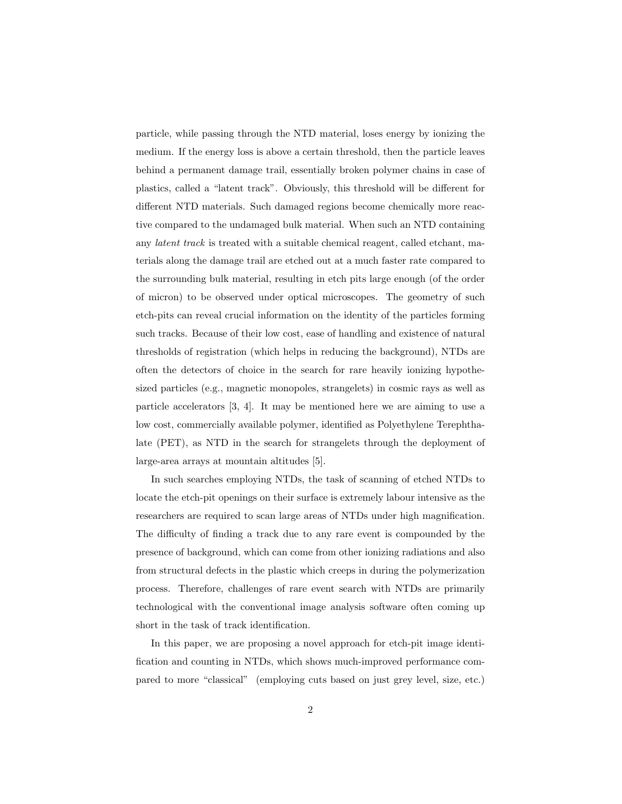particle, while passing through the NTD material, loses energy by ionizing the medium. If the energy loss is above a certain threshold, then the particle leaves behind a permanent damage trail, essentially broken polymer chains in case of plastics, called a "latent track". Obviously, this threshold will be different for different NTD materials. Such damaged regions become chemically more reactive compared to the undamaged bulk material. When such an NTD containing any latent track is treated with a suitable chemical reagent, called etchant, materials along the damage trail are etched out at a much faster rate compared to the surrounding bulk material, resulting in etch pits large enough (of the order of micron) to be observed under optical microscopes. The geometry of such etch-pits can reveal crucial information on the identity of the particles forming such tracks. Because of their low cost, ease of handling and existence of natural thresholds of registration (which helps in reducing the background), NTDs are often the detectors of choice in the search for rare heavily ionizing hypothesized particles (e.g., magnetic monopoles, strangelets) in cosmic rays as well as particle accelerators [3, 4]. It may be mentioned here we are aiming to use a low cost, commercially available polymer, identified as Polyethylene Terephthalate (PET), as NTD in the search for strangelets through the deployment of large-area arrays at mountain altitudes [5].

In such searches employing NTDs, the task of scanning of etched NTDs to locate the etch-pit openings on their surface is extremely labour intensive as the researchers are required to scan large areas of NTDs under high magnification. The difficulty of finding a track due to any rare event is compounded by the presence of background, which can come from other ionizing radiations and also from structural defects in the plastic which creeps in during the polymerization process. Therefore, challenges of rare event search with NTDs are primarily technological with the conventional image analysis software often coming up short in the task of track identification.

In this paper, we are proposing a novel approach for etch-pit image identification and counting in NTDs, which shows much-improved performance compared to more "classical" (employing cuts based on just grey level, size, etc.)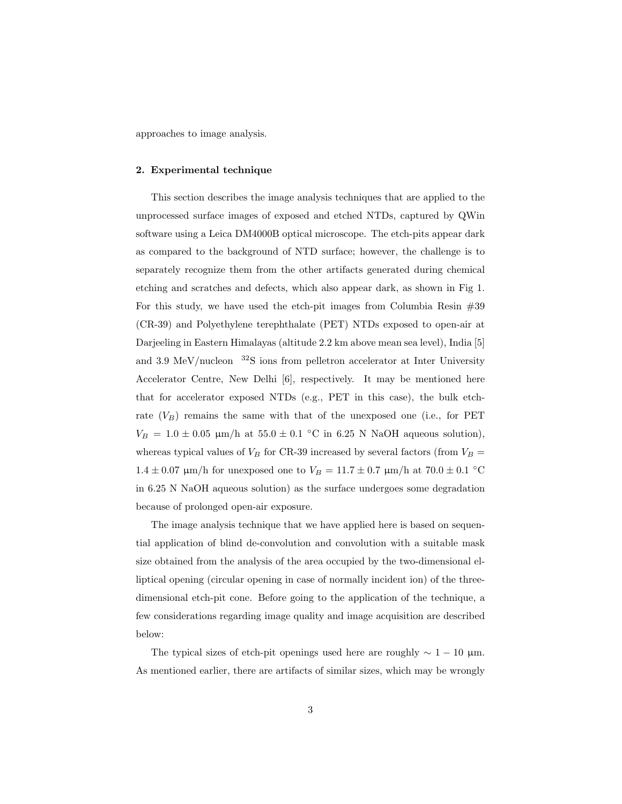approaches to image analysis.

#### 2. Experimental technique

This section describes the image analysis techniques that are applied to the unprocessed surface images of exposed and etched NTDs, captured by QWin software using a Leica DM4000B optical microscope. The etch-pits appear dark as compared to the background of NTD surface; however, the challenge is to separately recognize them from the other artifacts generated during chemical etching and scratches and defects, which also appear dark, as shown in Fig 1. For this study, we have used the etch-pit images from Columbia Resin  $#39$ (CR-39) and Polyethylene terephthalate (PET) NTDs exposed to open-air at Darjeeling in Eastern Himalayas (altitude 2.2 km above mean sea level), India [5] and 3.9 MeV/nucleon  $32S$  ions from pelletron accelerator at Inter University Accelerator Centre, New Delhi [6], respectively. It may be mentioned here that for accelerator exposed NTDs (e.g., PET in this case), the bulk etchrate  $(V_B)$  remains the same with that of the unexposed one (i.e., for PET  $V_B = 1.0 \pm 0.05$  µm/h at  $55.0 \pm 0.1$  °C in 6.25 N NaOH aqueous solution), whereas typical values of  $V_B$  for CR-39 increased by several factors (from  $V_B$  =  $1.4 \pm 0.07$  µm/h for unexposed one to  $V_B = 11.7 \pm 0.7$  µm/h at  $70.0 \pm 0.1$  °C in 6.25 N NaOH aqueous solution) as the surface undergoes some degradation because of prolonged open-air exposure.

The image analysis technique that we have applied here is based on sequential application of blind de-convolution and convolution with a suitable mask size obtained from the analysis of the area occupied by the two-dimensional elliptical opening (circular opening in case of normally incident ion) of the threedimensional etch-pit cone. Before going to the application of the technique, a few considerations regarding image quality and image acquisition are described below:

The typical sizes of etch-pit openings used here are roughly  $\sim 1 - 10 \mu m$ . As mentioned earlier, there are artifacts of similar sizes, which may be wrongly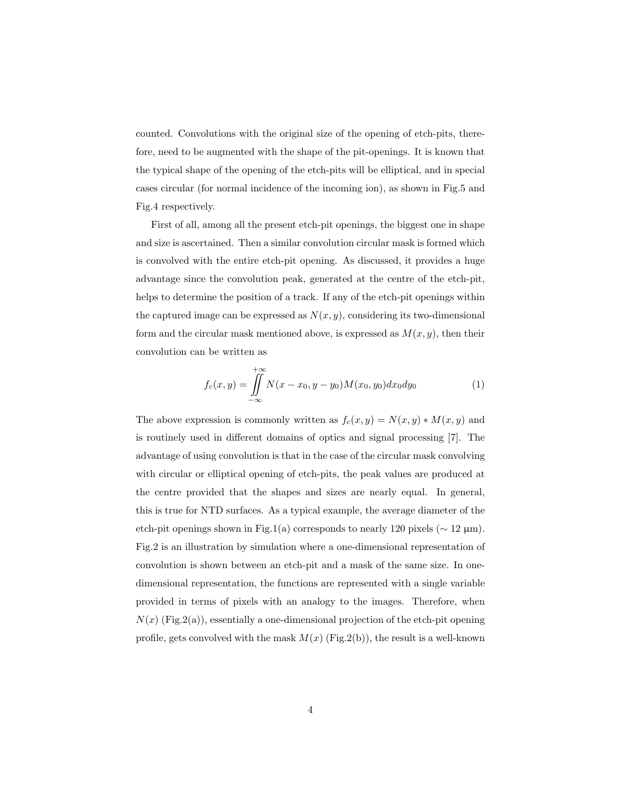counted. Convolutions with the original size of the opening of etch-pits, therefore, need to be augmented with the shape of the pit-openings. It is known that the typical shape of the opening of the etch-pits will be elliptical, and in special cases circular (for normal incidence of the incoming ion), as shown in Fig.5 and Fig.4 respectively.

First of all, among all the present etch-pit openings, the biggest one in shape and size is ascertained. Then a similar convolution circular mask is formed which is convolved with the entire etch-pit opening. As discussed, it provides a huge advantage since the convolution peak, generated at the centre of the etch-pit, helps to determine the position of a track. If any of the etch-pit openings within the captured image can be expressed as  $N(x, y)$ , considering its two-dimensional form and the circular mask mentioned above, is expressed as  $M(x, y)$ , then their convolution can be written as

$$
f_c(x,y) = \iint_{-\infty}^{+\infty} N(x - x_0, y - y_0) M(x_0, y_0) dx_0 dy_0
$$
 (1)

The above expression is commonly written as  $f_c(x, y) = N(x, y) * M(x, y)$  and is routinely used in different domains of optics and signal processing [7]. The advantage of using convolution is that in the case of the circular mask convolving with circular or elliptical opening of etch-pits, the peak values are produced at the centre provided that the shapes and sizes are nearly equal. In general, this is true for NTD surfaces. As a typical example, the average diameter of the etch-pit openings shown in Fig.1(a) corresponds to nearly 120 pixels ( $\sim$  12  $\mu$ m). Fig.2 is an illustration by simulation where a one-dimensional representation of convolution is shown between an etch-pit and a mask of the same size. In onedimensional representation, the functions are represented with a single variable provided in terms of pixels with an analogy to the images. Therefore, when  $N(x)$  (Fig.2(a)), essentially a one-dimensional projection of the etch-pit opening profile, gets convolved with the mask  $M(x)$  (Fig.2(b)), the result is a well-known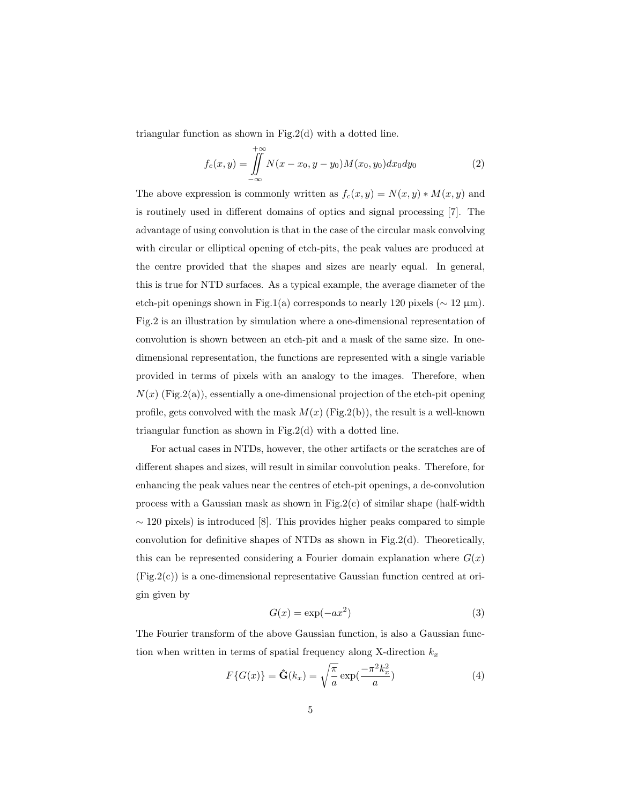triangular function as shown in Fig.2(d) with a dotted line.

$$
f_c(x,y) = \iint_{-\infty}^{+\infty} N(x - x_0, y - y_0) M(x_0, y_0) dx_0 dy_0
$$
 (2)

The above expression is commonly written as  $f_c(x, y) = N(x, y) * M(x, y)$  and is routinely used in different domains of optics and signal processing [7]. The advantage of using convolution is that in the case of the circular mask convolving with circular or elliptical opening of etch-pits, the peak values are produced at the centre provided that the shapes and sizes are nearly equal. In general, this is true for NTD surfaces. As a typical example, the average diameter of the etch-pit openings shown in Fig.1(a) corresponds to nearly 120 pixels ( $\sim$  12  $\mu$ m). Fig.2 is an illustration by simulation where a one-dimensional representation of convolution is shown between an etch-pit and a mask of the same size. In onedimensional representation, the functions are represented with a single variable provided in terms of pixels with an analogy to the images. Therefore, when  $N(x)$  (Fig.2(a)), essentially a one-dimensional projection of the etch-pit opening profile, gets convolved with the mask  $M(x)$  (Fig.2(b)), the result is a well-known triangular function as shown in Fig.2(d) with a dotted line.

For actual cases in NTDs, however, the other artifacts or the scratches are of different shapes and sizes, will result in similar convolution peaks. Therefore, for enhancing the peak values near the centres of etch-pit openings, a de-convolution process with a Gaussian mask as shown in Fig.2(c) of similar shape (half-width  $\sim$  120 pixels) is introduced [8]. This provides higher peaks compared to simple convolution for definitive shapes of NTDs as shown in Fig.2(d). Theoretically, this can be represented considering a Fourier domain explanation where  $G(x)$  $(Fig.2(c))$  is a one-dimensional representative Gaussian function centred at origin given by

$$
G(x) = \exp(-ax^2)
$$
 (3)

The Fourier transform of the above Gaussian function, is also a Gaussian function when written in terms of spatial frequency along X-direction  $k_x$ 

$$
F\{G(x)\} = \hat{\mathbf{G}}(k_x) = \sqrt{\frac{\pi}{a}} \exp(\frac{-\pi^2 k_x^2}{a})
$$
\n(4)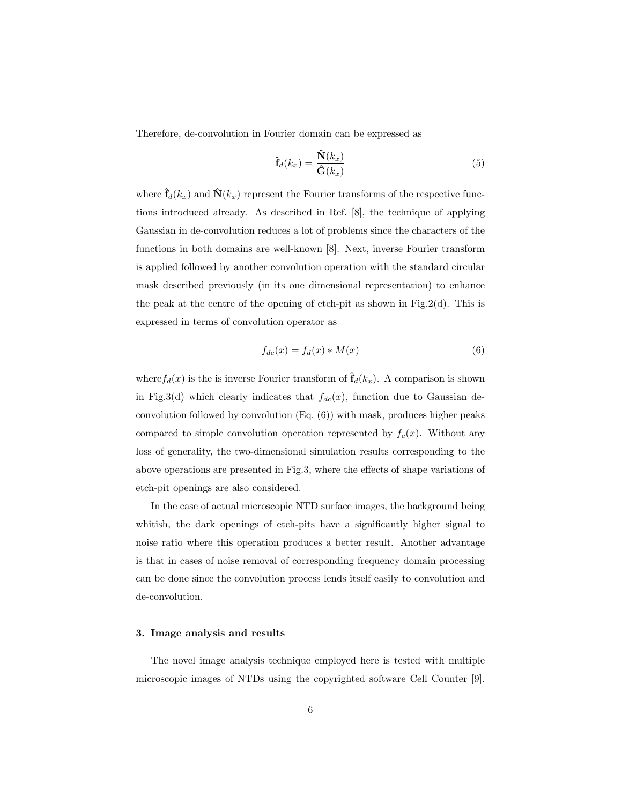Therefore, de-convolution in Fourier domain can be expressed as

$$
\hat{\mathbf{f}}_d(k_x) = \frac{\hat{\mathbf{N}}(k_x)}{\hat{\mathbf{G}}(k_x)}\tag{5}
$$

where  $\hat{\mathbf{f}}_d(k_x)$  and  $\hat{\mathbf{N}}(k_x)$  represent the Fourier transforms of the respective functions introduced already. As described in Ref. [8], the technique of applying Gaussian in de-convolution reduces a lot of problems since the characters of the functions in both domains are well-known [8]. Next, inverse Fourier transform is applied followed by another convolution operation with the standard circular mask described previously (in its one dimensional representation) to enhance the peak at the centre of the opening of etch-pit as shown in Fig.2(d). This is expressed in terms of convolution operator as

$$
f_{dc}(x) = f_d(x) * M(x)
$$
\n(6)

where  $f_d(x)$  is the is inverse Fourier transform of  $\hat{f}_d(k_x)$ . A comparison is shown in Fig.3(d) which clearly indicates that  $f_{dc}(x)$ , function due to Gaussian deconvolution followed by convolution (Eq. (6)) with mask, produces higher peaks compared to simple convolution operation represented by  $f_c(x)$ . Without any loss of generality, the two-dimensional simulation results corresponding to the above operations are presented in Fig.3, where the effects of shape variations of etch-pit openings are also considered.

In the case of actual microscopic NTD surface images, the background being whitish, the dark openings of etch-pits have a significantly higher signal to noise ratio where this operation produces a better result. Another advantage is that in cases of noise removal of corresponding frequency domain processing can be done since the convolution process lends itself easily to convolution and de-convolution.

#### 3. Image analysis and results

The novel image analysis technique employed here is tested with multiple microscopic images of NTDs using the copyrighted software Cell Counter [9].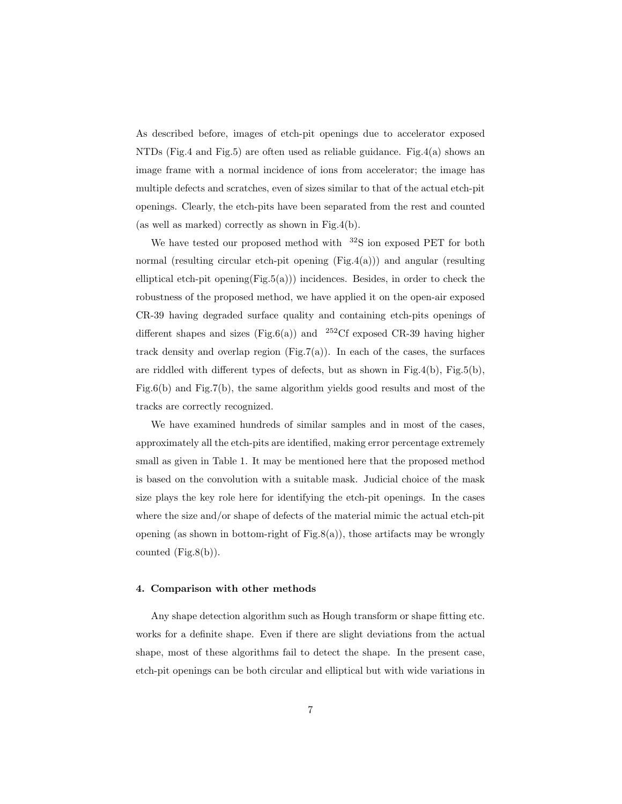As described before, images of etch-pit openings due to accelerator exposed NTDs (Fig.4 and Fig.5) are often used as reliable guidance. Fig.4(a) shows an image frame with a normal incidence of ions from accelerator; the image has multiple defects and scratches, even of sizes similar to that of the actual etch-pit openings. Clearly, the etch-pits have been separated from the rest and counted (as well as marked) correctly as shown in Fig.4(b).

We have tested our proposed method with  $32S$  ion exposed PET for both normal (resulting circular etch-pit opening  $(Fig.4(a))$ ) and angular (resulting elliptical etch-pit opening $(Fig.5(a))$ ) incidences. Besides, in order to check the robustness of the proposed method, we have applied it on the open-air exposed CR-39 having degraded surface quality and containing etch-pits openings of different shapes and sizes (Fig.6(a)) and  $252C$ f exposed CR-39 having higher track density and overlap region  $(Fig.7(a))$ . In each of the cases, the surfaces are riddled with different types of defects, but as shown in Fig.4(b), Fig.5(b), Fig.6(b) and Fig.7(b), the same algorithm yields good results and most of the tracks are correctly recognized.

We have examined hundreds of similar samples and in most of the cases, approximately all the etch-pits are identified, making error percentage extremely small as given in Table 1. It may be mentioned here that the proposed method is based on the convolution with a suitable mask. Judicial choice of the mask size plays the key role here for identifying the etch-pit openings. In the cases where the size and/or shape of defects of the material mimic the actual etch-pit opening (as shown in bottom-right of Fig.8(a)), those artifacts may be wrongly counted  $(Fig.8(b))$ .

#### 4. Comparison with other methods

Any shape detection algorithm such as Hough transform or shape fitting etc. works for a definite shape. Even if there are slight deviations from the actual shape, most of these algorithms fail to detect the shape. In the present case, etch-pit openings can be both circular and elliptical but with wide variations in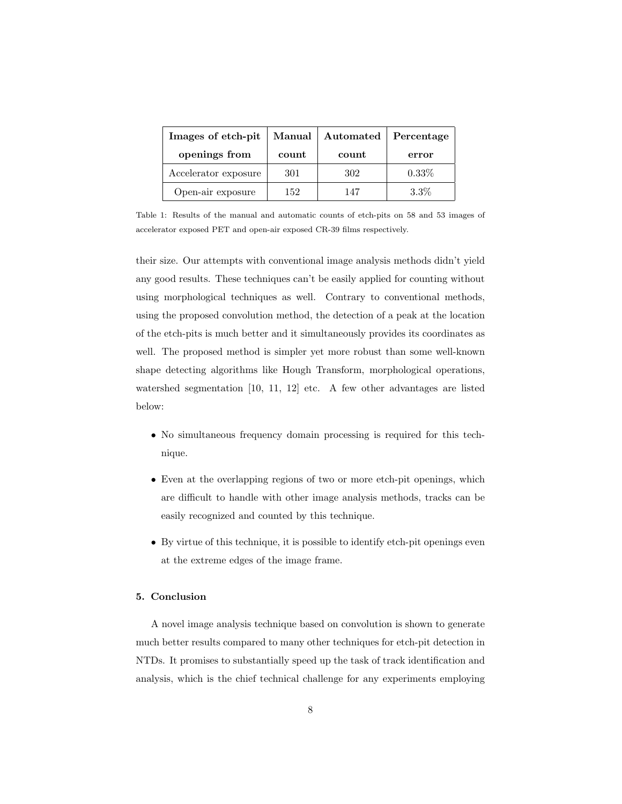| Images of etch-pit   | Manual | Automated | Percentage |
|----------------------|--------|-----------|------------|
| openings from        | count  | count     | error      |
| Accelerator exposure | 301    | 302       | $0.33\%$   |
| Open-air exposure    | 152    | 147       | 3.3%       |

Table 1: Results of the manual and automatic counts of etch-pits on 58 and 53 images of accelerator exposed PET and open-air exposed CR-39 films respectively.

their size. Our attempts with conventional image analysis methods didn't yield any good results. These techniques can't be easily applied for counting without using morphological techniques as well. Contrary to conventional methods, using the proposed convolution method, the detection of a peak at the location of the etch-pits is much better and it simultaneously provides its coordinates as well. The proposed method is simpler yet more robust than some well-known shape detecting algorithms like Hough Transform, morphological operations, watershed segmentation [10, 11, 12] etc. A few other advantages are listed below:

- No simultaneous frequency domain processing is required for this technique.
- Even at the overlapping regions of two or more etch-pit openings, which are difficult to handle with other image analysis methods, tracks can be easily recognized and counted by this technique.
- By virtue of this technique, it is possible to identify etch-pit openings even at the extreme edges of the image frame.

## 5. Conclusion

A novel image analysis technique based on convolution is shown to generate much better results compared to many other techniques for etch-pit detection in NTDs. It promises to substantially speed up the task of track identification and analysis, which is the chief technical challenge for any experiments employing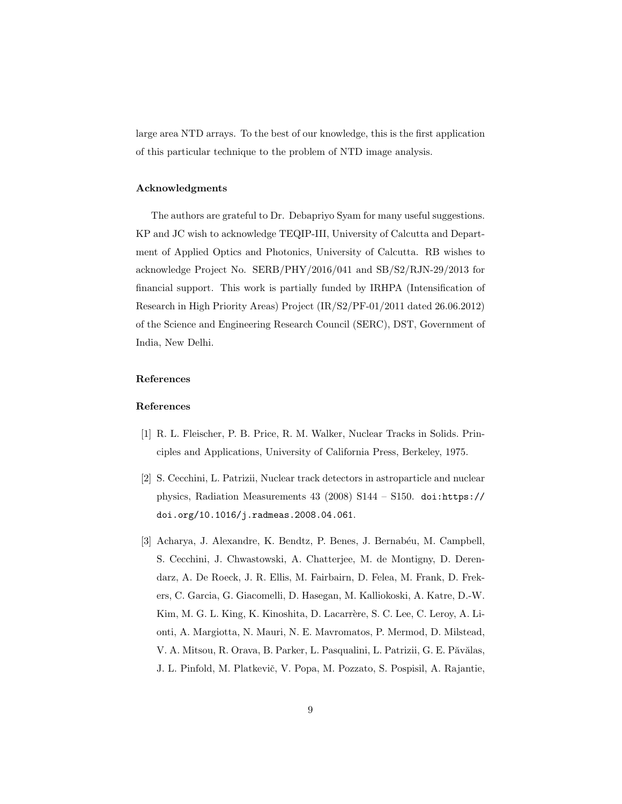large area NTD arrays. To the best of our knowledge, this is the first application of this particular technique to the problem of NTD image analysis.

### Acknowledgments

The authors are grateful to Dr. Debapriyo Syam for many useful suggestions. KP and JC wish to acknowledge TEQIP-III, University of Calcutta and Department of Applied Optics and Photonics, University of Calcutta. RB wishes to acknowledge Project No. SERB/PHY/2016/041 and SB/S2/RJN-29/2013 for financial support. This work is partially funded by IRHPA (Intensification of Research in High Priority Areas) Project (IR/S2/PF-01/2011 dated 26.06.2012) of the Science and Engineering Research Council (SERC), DST, Government of India, New Delhi.

## References

#### References

- [1] R. L. Fleischer, P. B. Price, R. M. Walker, Nuclear Tracks in Solids. Principles and Applications, University of California Press, Berkeley, 1975.
- [2] S. Cecchini, L. Patrizii, Nuclear track detectors in astroparticle and nuclear physics, Radiation Measurements 43 (2008) S144 – S150. doi:https:// doi.org/10.1016/j.radmeas.2008.04.061.
- [3] Acharya, J. Alexandre, K. Bendtz, P. Benes, J. Bernabéu, M. Campbell, S. Cecchini, J. Chwastowski, A. Chatterjee, M. de Montigny, D. Derendarz, A. De Roeck, J. R. Ellis, M. Fairbairn, D. Felea, M. Frank, D. Frekers, C. Garcia, G. Giacomelli, D. Hasegan, M. Kalliokoski, A. Katre, D.-W. Kim, M. G. L. King, K. Kinoshita, D. Lacarrère, S. C. Lee, C. Leroy, A. Lionti, A. Margiotta, N. Mauri, N. E. Mavromatos, P. Mermod, D. Milstead, V. A. Mitsou, R. Orava, B. Parker, L. Pasqualini, L. Patrizii, G. E. Păvălas, J. L. Pinfold, M. Platkevič, V. Popa, M. Pozzato, S. Pospisil, A. Rajantie,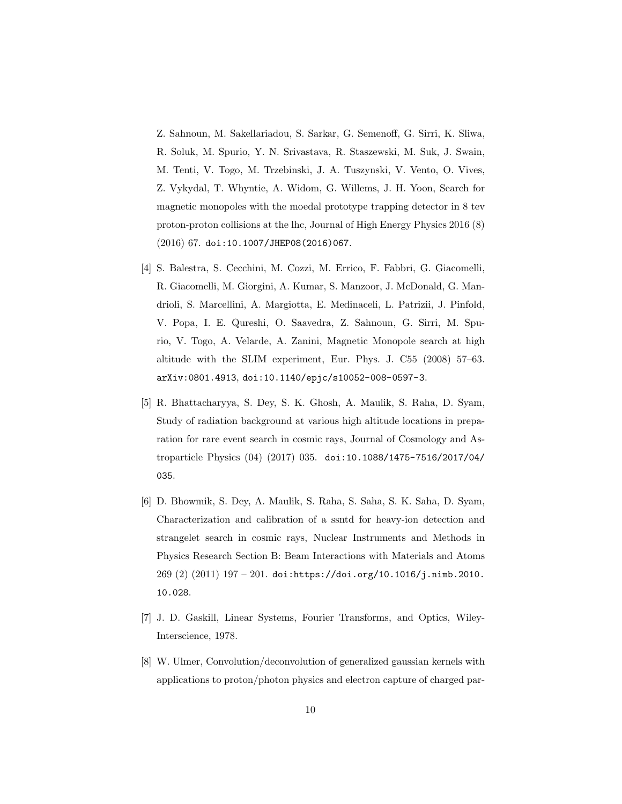Z. Sahnoun, M. Sakellariadou, S. Sarkar, G. Semenoff, G. Sirri, K. Sliwa, R. Soluk, M. Spurio, Y. N. Srivastava, R. Staszewski, M. Suk, J. Swain, M. Tenti, V. Togo, M. Trzebinski, J. A. Tuszynski, V. Vento, O. Vives, Z. Vykydal, T. Whyntie, A. Widom, G. Willems, J. H. Yoon, Search for magnetic monopoles with the moedal prototype trapping detector in 8 tev proton-proton collisions at the lhc, Journal of High Energy Physics 2016 (8) (2016) 67. doi:10.1007/JHEP08(2016)067.

- [4] S. Balestra, S. Cecchini, M. Cozzi, M. Errico, F. Fabbri, G. Giacomelli, R. Giacomelli, M. Giorgini, A. Kumar, S. Manzoor, J. McDonald, G. Mandrioli, S. Marcellini, A. Margiotta, E. Medinaceli, L. Patrizii, J. Pinfold, V. Popa, I. E. Qureshi, O. Saavedra, Z. Sahnoun, G. Sirri, M. Spurio, V. Togo, A. Velarde, A. Zanini, Magnetic Monopole search at high altitude with the SLIM experiment, Eur. Phys. J. C55 (2008) 57–63. arXiv:0801.4913, doi:10.1140/epjc/s10052-008-0597-3.
- [5] R. Bhattacharyya, S. Dey, S. K. Ghosh, A. Maulik, S. Raha, D. Syam, Study of radiation background at various high altitude locations in preparation for rare event search in cosmic rays, Journal of Cosmology and Astroparticle Physics (04) (2017) 035. doi:10.1088/1475-7516/2017/04/ 035.
- [6] D. Bhowmik, S. Dey, A. Maulik, S. Raha, S. Saha, S. K. Saha, D. Syam, Characterization and calibration of a ssntd for heavy-ion detection and strangelet search in cosmic rays, Nuclear Instruments and Methods in Physics Research Section B: Beam Interactions with Materials and Atoms 269 (2) (2011) 197 – 201. doi:https://doi.org/10.1016/j.nimb.2010. 10.028.
- [7] J. D. Gaskill, Linear Systems, Fourier Transforms, and Optics, Wiley-Interscience, 1978.
- [8] W. Ulmer, Convolution/deconvolution of generalized gaussian kernels with applications to proton/photon physics and electron capture of charged par-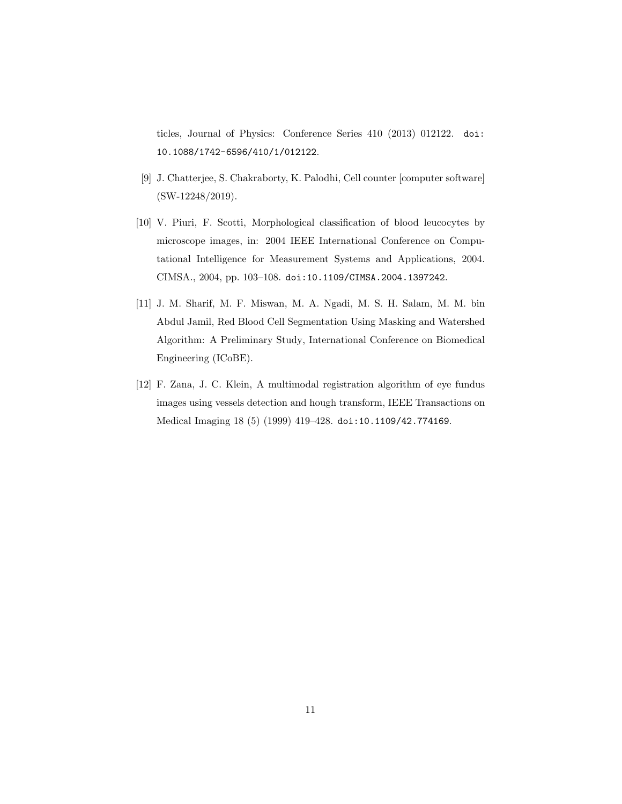ticles, Journal of Physics: Conference Series 410 (2013) 012122. doi: 10.1088/1742-6596/410/1/012122.

- [9] J. Chatterjee, S. Chakraborty, K. Palodhi, Cell counter [computer software] (SW-12248/2019).
- [10] V. Piuri, F. Scotti, Morphological classification of blood leucocytes by microscope images, in: 2004 IEEE International Conference on Computational Intelligence for Measurement Systems and Applications, 2004. CIMSA., 2004, pp. 103–108. doi:10.1109/CIMSA.2004.1397242.
- [11] J. M. Sharif, M. F. Miswan, M. A. Ngadi, M. S. H. Salam, M. M. bin Abdul Jamil, Red Blood Cell Segmentation Using Masking and Watershed Algorithm: A Preliminary Study, International Conference on Biomedical Engineering (ICoBE).
- [12] F. Zana, J. C. Klein, A multimodal registration algorithm of eye fundus images using vessels detection and hough transform, IEEE Transactions on Medical Imaging 18 (5) (1999) 419–428. doi:10.1109/42.774169.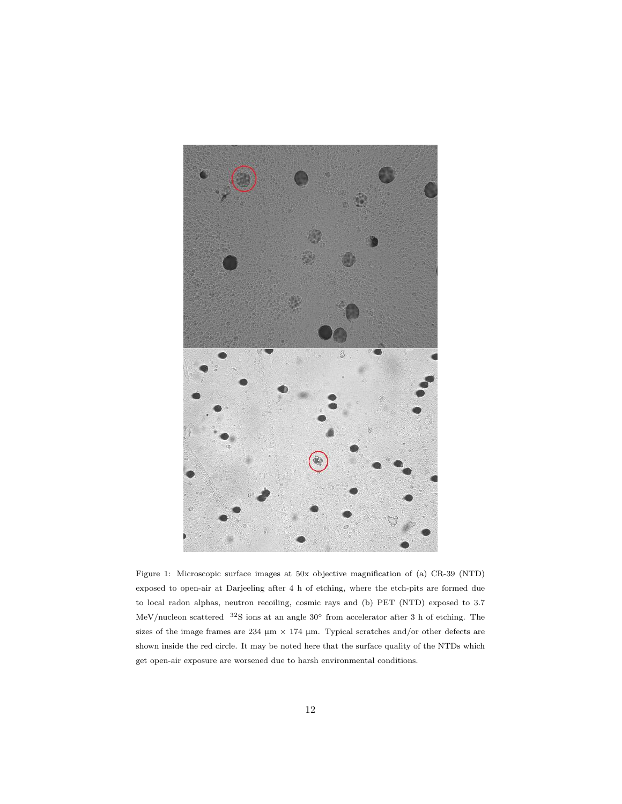

Figure 1: Microscopic surface images at 50x objective magnification of (a) CR-39 (NTD) exposed to open-air at Darjeeling after 4 h of etching, where the etch-pits are formed due to local radon alphas, neutron recoiling, cosmic rays and (b) PET (NTD) exposed to 3.7 MeV/nucleon scattered <sup>32</sup>S ions at an angle 30◦ from accelerator after 3 h of etching. The sizes of the image frames are 234  $\mu$ m × 174  $\mu$ m. Typical scratches and/or other defects are shown inside the red circle. It may be noted here that the surface quality of the NTDs which get open-air exposure are worsened due to harsh environmental conditions.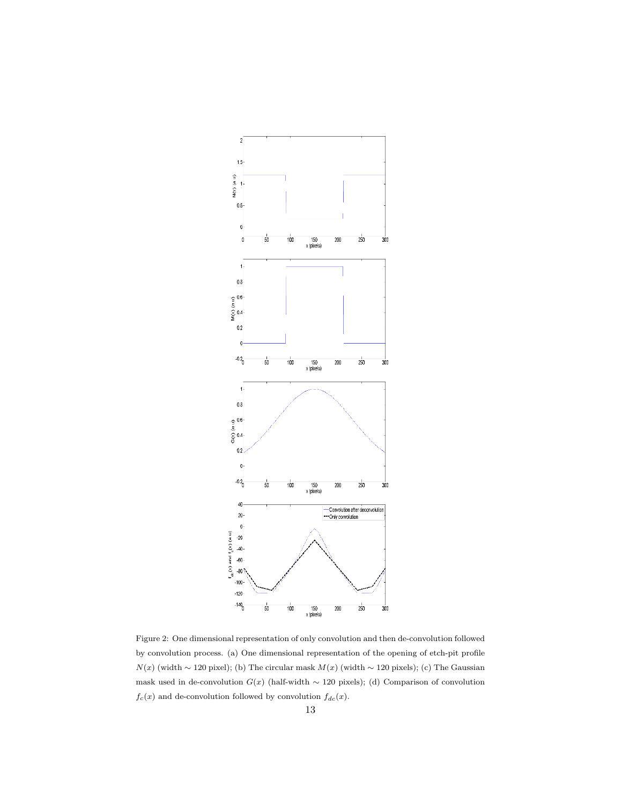

Figure 2: One dimensional representation of only convolution and then de-convolution followed by convolution process. (a) One dimensional representation of the opening of etch-pit profile  $N(x)$  (width ~ 120 pixel); (b) The circular mask  $M(x)$  (width ~ 120 pixels); (c) The Gaussian mask used in de-convolution  $G(x)$  (half-width ~ 120 pixels); (d) Comparison of convolution  $f_c(x)$  and de-convolution followed by convolution  $f_{dc}(x)$ .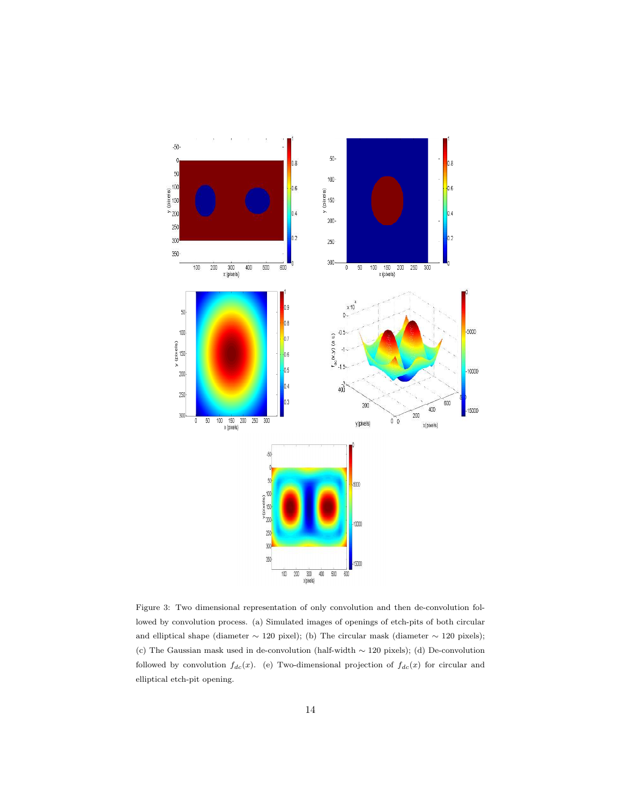

Figure 3: Two dimensional representation of only convolution and then de-convolution followed by convolution process. (a) Simulated images of openings of etch-pits of both circular and elliptical shape (diameter ∼ 120 pixel); (b) The circular mask (diameter ∼ 120 pixels); (c) The Gaussian mask used in de-convolution (half-width ∼ 120 pixels); (d) De-convolution followed by convolution  $f_{dc}(x)$ . (e) Two-dimensional projection of  $f_{dc}(x)$  for circular and elliptical etch-pit opening.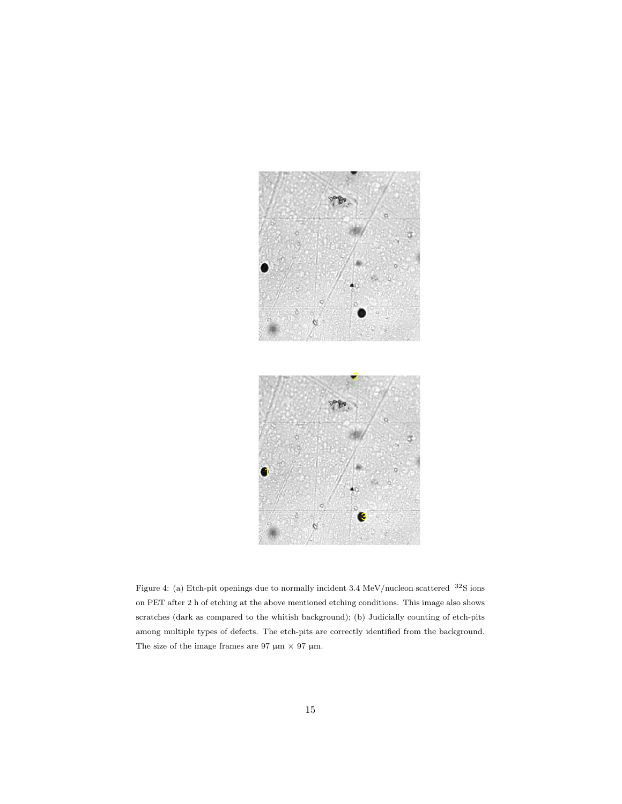

Figure 4: (a) Etch-pit openings due to normally incident 3.4 MeV/nucleon scattered <sup>32</sup>S ions on PET after 2 h of etching at the above mentioned etching conditions. This image also shows scratches (dark as compared to the whitish background); (b) Judicially counting of etch-pits among multiple types of defects. The etch-pits are correctly identified from the background. The size of the image frames are 97  $\upmu \mathrm{m}$   $\times$  97  $\upmu \mathrm{m}.$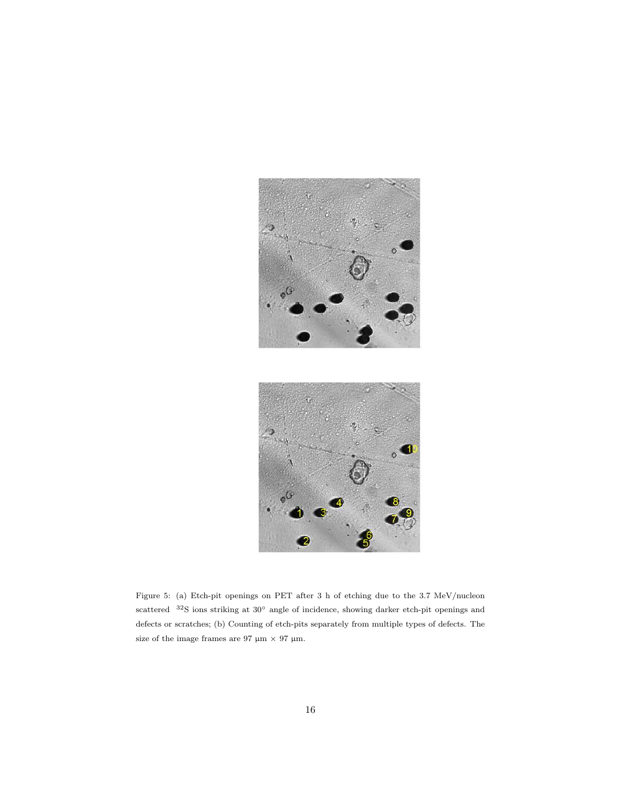

Figure 5: (a) Etch-pit openings on PET after 3 h of etching due to the 3.7 MeV/nucleon scattered <sup>32</sup>S ions striking at 30<sup>°</sup> angle of incidence, showing darker etch-pit openings and defects or scratches; (b) Counting of etch-pits separately from multiple types of defects. The size of the image frames are 97  $\mu$ m × 97  $\mu$ m.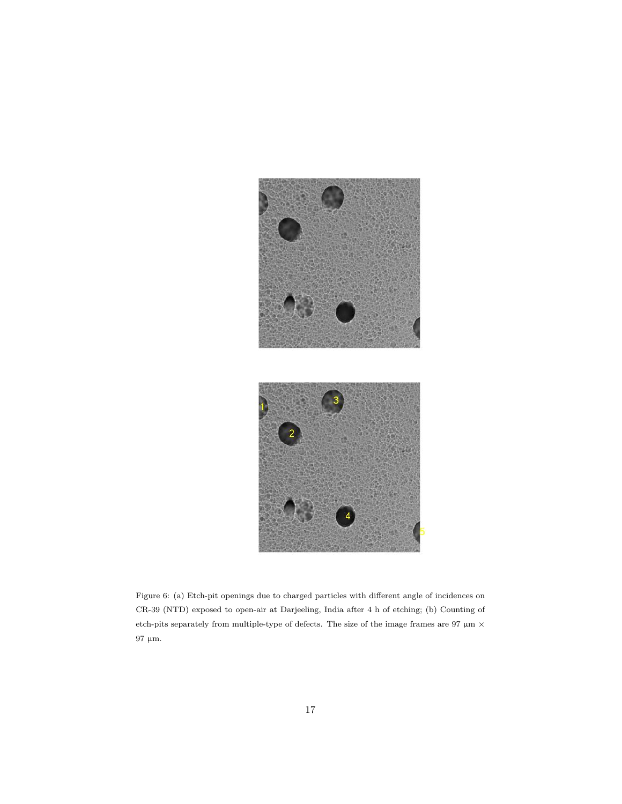

Figure 6: (a) Etch-pit openings due to charged particles with different angle of incidences on CR-39 (NTD) exposed to open-air at Darjeeling, India after 4 h of etching; (b) Counting of etch-pits separately from multiple-type of defects. The size of the image frames are 97  $\upmu \mathrm{m}$   $\times$  $97$   $\upmu \mathrm{m}.$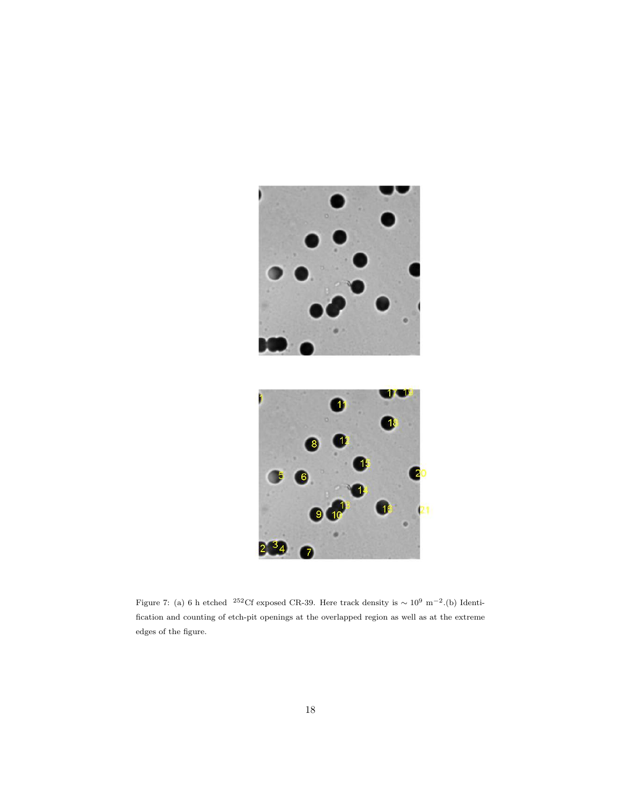

Figure 7: (a) 6 h etched <sup>252</sup>Cf exposed CR-39. Here track density is  $\sim 10^9$  m<sup>-2</sup>.(b) Identification and counting of etch-pit openings at the overlapped region as well as at the extreme edges of the figure.